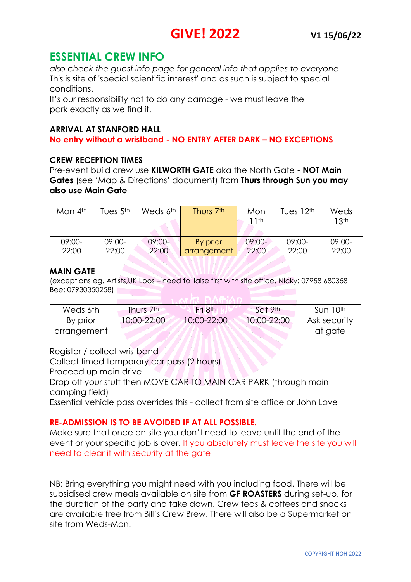# **ESSENTIAL CREW INFO**

*also check the guest info page for general info that applies to everyone* This is site of 'special scientific interest' and as such is subject to special conditions.

It's our responsibility not to do any damage - we must leave the park exactly as we find it.

### **ARRIVAL AT STANFORD HALL**

### **No entry without a wristband - NO ENTRY AFTER DARK – NO EXCEPTIONS**

### **CREW RECEPTION TIMES**

Pre-event build crew use **KILWORTH GATE** aka the North Gate **- NOT Main Gates** (see 'Map & Directions' document) from **Thurs through Sun you may also use Main Gate**

| Mon $4th$ | Tues $5th$ | Weds 6 <sup>th</sup> | Thurs 7 <sup>th</sup> | Mon<br>1 <sup>th</sup> | Tues $12th$ | Weds<br>13 <sup>th</sup> |
|-----------|------------|----------------------|-----------------------|------------------------|-------------|--------------------------|
| $09:00-$  | 09:00-     | $09:00-$             | By prior              | $09:00-$               | $09:00-$    | $09:00-$                 |
| 22:00     | 22:00      | 22:00                | arrangement           | 22:00                  | 22:00       | 22:00                    |

#### **MAIN GATE**

(exceptions eg. Artists,UK Loos – need to liaise first with site office. Nicky: 07958 680358 Bee: 07930350258)

| Weds 6th    | Thurs 7th   | Fri 8 <sup>th</sup> | $\sim$ Sat 9 <sup>th</sup> | Sun 10 <sup>th</sup> |
|-------------|-------------|---------------------|----------------------------|----------------------|
| By prior    | 10:00-22:00 | 10:00-22:00         | 10:00-22:00                | Ask security         |
| arrangement |             |                     |                            | at gate              |

Register / collect wristband

Collect timed temporary car pass (2 hours)

Proceed up main drive

Drop off your stuff then MOVE CAR TO MAIN CAR PARK (through main camping field)

Essential vehicle pass overrides this - collect from site office or John Love

### **RE-ADMISSION IS TO BE AVOIDED IF AT ALL POSSIBLE.**

Make sure that once on site you don't need to leave until the end of the event or your specific job is over. If you absolutely must leave the site you will need to clear it with security at the gate

NB: Bring everything you might need with you including food. There will be subsidised crew meals available on site from **GF ROASTERS** during set-up, for the duration of the party and take down. Crew teas & coffees and snacks are available free from Bill's Crew Brew. There will also be a Supermarket on site from Weds-Mon.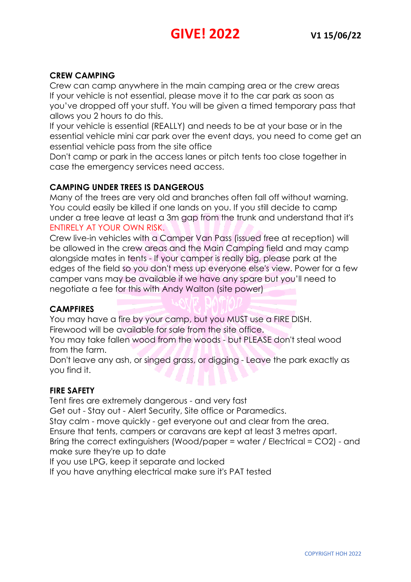# **CREW CAMPING**

Crew can camp anywhere in the main camping area or the crew areas If your vehicle is not essential, please move it to the car park as soon as you've dropped off your stuff. You will be given a timed temporary pass that allows you 2 hours to do this.

If your vehicle is essential (REALLY) and needs to be at your base or in the essential vehicle mini car park over the event days, you need to come get an essential vehicle pass from the site office

Don't camp or park in the access lanes or pitch tents too close together in case the emergency services need access.

## **CAMPING UNDER TREES IS DANGEROUS**

Many of the trees are very old and branches often fall off without warning. You could easily be killed if one lands on you. If you still decide to camp under a tree leave at least a 3m gap from the trunk and understand that it's ENTIRELY AT YOUR OWN RISK.

Crew live-in vehicles with a Camper Van Pass (issued free at reception) will be allowed in the crew areas and the Main Camping field and may camp alongside mates in tents - If your camper is really big, please park at the edges of the field so you don't mess up everyone else's view. Power for a few camper vans may be available if we have any spare but you'll need to negotiate a fee for this with Andy Walton (site power)

### **CAMPFIRES**

You may have a fire by your camp, but you MUST use a FIRE DISH. Firewood will be available for sale from the site office.

You may take fallen wood from the woods - but PLEASE don't steal wood from the farm.

Don't leave any ash, or singed grass, or digging - Leave the park exactly as you find it.

### **FIRE SAFETY**

Tent fires are extremely dangerous - and very fast

Get out - Stay out - Alert Security, Site office or Paramedics.

Stay calm - move quickly - get everyone out and clear from the area.

Ensure that tents, campers or caravans are kept at least 3 metres apart.

Bring the correct extinguishers (Wood/paper = water / Electrical = CO2) - and make sure they're up to date

If you use LPG, keep it separate and locked

If you have anything electrical make sure it's PAT tested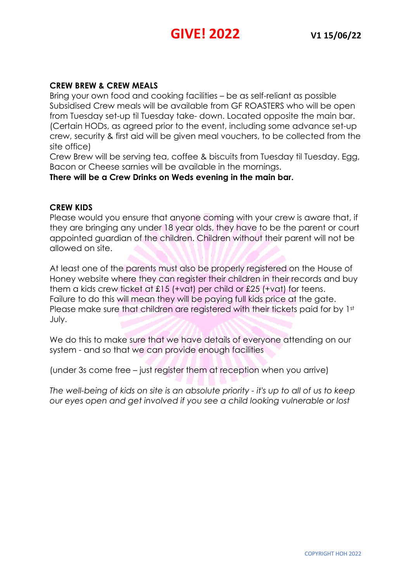### **CREW BREW & CREW MEALS**

Bring your own food and cooking facilities – be as self-reliant as possible Subsidised Crew meals will be available from GF ROASTERS who will be open from Tuesday set-up til Tuesday take- down. Located opposite the main bar. (Certain HODs, as agreed prior to the event, including some advance set-up crew, security & first aid will be given meal vouchers, to be collected from the site office)

Crew Brew will be serving tea, coffee & biscuits from Tuesday til Tuesday. Egg, Bacon or Cheese sarnies will be available in the mornings.

**There will be a Crew Drinks on Weds evening in the main bar.**

#### **CREW KIDS**

Please would you ensure that anyone coming with your crew is aware that, if they are bringing any under 18 year olds, they have to be the parent or court appointed guardian of the children. Children without their parent will not be allowed on site.

At least one of the parents must also be properly registered on the House of Honey website where they can register their children in their records and buy them a kids crew ticket at £15 (+vat) per child or £25 (+vat) for teens. Failure to do this will mean they will be paying full kids price at the gate. Please make sure that children are registered with their tickets paid for by 1st July.

We do this to make sure that we have details of everyone attending on our system - and so that we can provide enough facilities

(under 3s come free – just register them at reception when you arrive)

*The well-being of kids on site is an absolute priority - it's up to all of us to keep our eyes open and get involved if you see a child looking vulnerable or lost*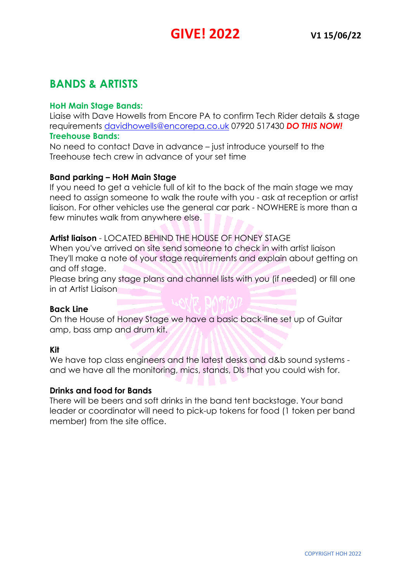# **BANDS & ARTISTS**

## **HoH Main Stage Bands:**

Liaise with Dave Howells from Encore PA to confirm Tech Rider details & stage requirements davidhowells@encorepa.co.uk 07920 517430 *DO THIS NOW!*

### **Treehouse Bands:**

No need to contact Dave in advance – just introduce yourself to the Treehouse tech crew in advance of your set time

## **Band parking – HoH Main Stage**

If you need to get a vehicle full of kit to the back of the main stage we may need to assign someone to walk the route with you - ask at reception or artist liaison. For other vehicles use the general car park - NOWHERE is more than a few minutes walk from anywhere else.

# **Artist liaison** - LOCATED BEHIND THE HOUSE OF HONEY STAGE

When you've arrived on site send someone to check in with artist liaison They'll make a note of your stage requirements and explain about getting on and off stage.

Please bring any stage plans and channel lists with you (if needed) or fill one in at Artist Liaison

### **Back Line**

On the House of Honey Stage we have a basic back-line set up of Guitar amp, bass amp and drum kit.

### **Kit**

We have top class engineers and the latest desks and d&b sound systems and we have all the monitoring, mics, stands, DIs that you could wish for.

YUNID

### **Drinks and food for Bands**

There will be beers and soft drinks in the band tent backstage. Your band leader or coordinator will need to pick-up tokens for food (1 token per band member) from the site office.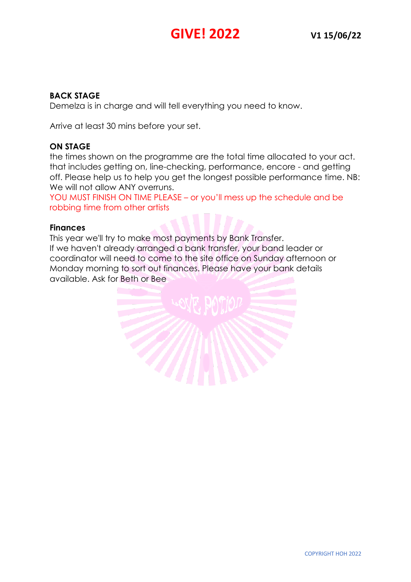## **BACK STAGE**

Demelza is in charge and will tell everything you need to know.

Arrive at least 30 mins before your set.

## **ON STAGE**

the times shown on the programme are the total time allocated to your act. that includes getting on, line-checking, performance, encore - and getting off. Please help us to help you get the longest possible performance time. NB: We will not allow ANY overruns.

YOU MUST FINISH ON TIME PLEASE – or you'll mess up the schedule and be robbing time from other artists

### **Finances**

This year we'll try to make most payments by Bank Transfer. If we haven't already arranged a bank transfer, your band leader or coordinator will need to come to the site office on Sunday afternoon or Monday morning to sort out finances. Please have your bank details available. Ask for Beth or Bee

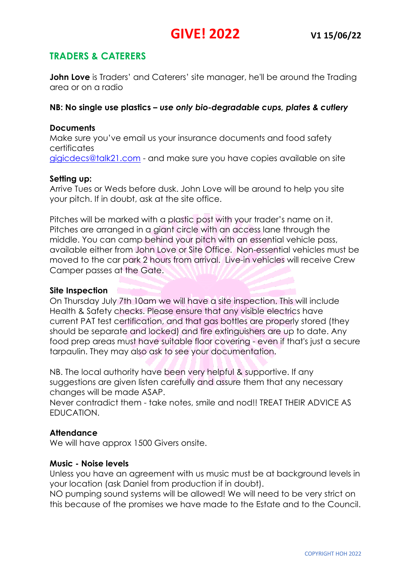# **TRADERS & CATERERS**

**John Love** is Traders' and Caterers' site manager, he'll be around the Trading area or on a radio

### **NB: No single use plastics –** *use only bio-degradable cups, plates & cutlery*

### **Documents**

Make sure you've email us your insurance documents and food safety certificates gigicdecs@talk21.com - and make sure you have copies available on site

### **Setting up:**

Arrive Tues or Weds before dusk. John Love will be around to help you site your pitch. If in doubt, ask at the site office.

Pitches will be marked with a plastic post with your trader's name on it. Pitches are arranged in a giant circle with an access lane through the middle. You can camp behind your pitch with an essential vehicle pass, available either from John Love or Site Office. Non-essential vehicles must be moved to the car park 2 hours from arrival. Live-in vehicles will receive Crew Camper passes at the Gate.

### **Site Inspection**

On Thursday July 7th 10am we will have a site inspection. This will include Health & Safety checks. Please ensure that any visible electrics have current PAT test certification, and that gas bottles are properly stored (they should be separate and locked) and fire extinguishers are up to date. Any food prep areas must have suitable floor covering - even if that's just a secure tarpaulin. They may also ask to see your documentation.

NB. The local authority have been very helpful & supportive. If any suggestions are given listen carefully and assure them that any necessary changes will be made ASAP.

Never contradict them - take notes, smile and nod!! TREAT THEIR ADVICE AS EDUCATION.

### **Attendance**

We will have approx 1500 Givers onsite.

#### **Music - Noise levels**

Unless you have an agreement with us music must be at background levels in your location (ask Daniel from production if in doubt).

NO pumping sound systems will be allowed! We will need to be very strict on this because of the promises we have made to the Estate and to the Council.